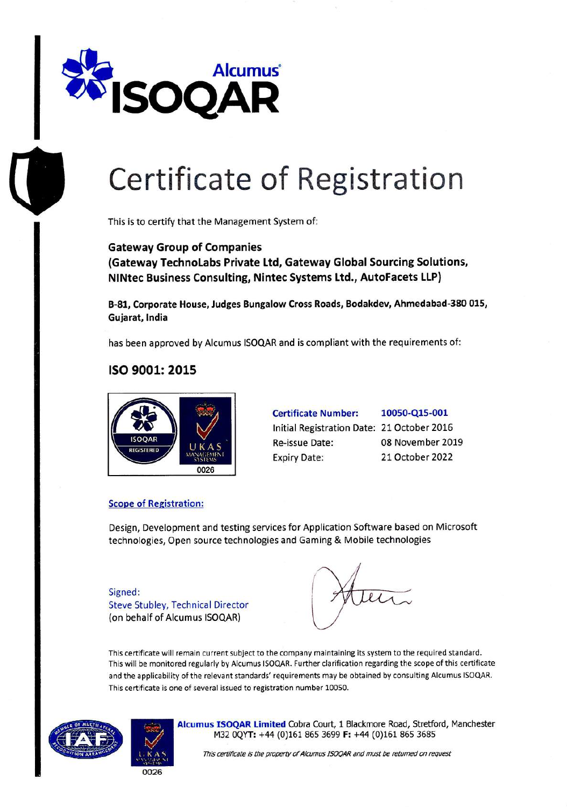

# **Certificate of Registration**

This is to certify that the Management System of:

**Gateway Group of Companies (Gateway TechnoLabs Private Ltd, Gateway Global Sourcing Solutions, NINtec Business Consulting, Nintec Systems Ltd., AutoFacets LIP)** 

**B-81, Corporate House, Judges Bungalow Cross Roads, Bodakdev, Ahmedabad-380 015, Gujarat, India** 

has been approved by Alcumus ISOQAR and is compliant with the requirements of:

### **ISO 9001: 2015**



| <b>Certificate Number:</b>                 | 10050-Q15-001    |
|--------------------------------------------|------------------|
| Initial Registration Date: 21 October 2016 |                  |
| Re-issue Date:                             | 08 November 2019 |
| <b>Expiry Date:</b>                        | 21 October 2022  |

#### **Scope of** Registration:

Design, Development and testing services for Application Software based on Microsoft technologies, Open source technologies and Gaming & Mobile technologies

Signed: Steve Stubley, Technical Director (on behalf of Alcumus ISOQAR)

This certificate will remain current subject to the company maintaining its system to the required standard. This will be monitored regularly by Alcumus ISOQAR. Further clarification regarding the scope of this certificate and the applicability of the relevant standards' requirements may be obtained by consulting Alcumus ISOQAR. This certificate is one of several issued to registration number 10050.





**Alcumus ISOQAR Limited** Cobra Court, 1 Blackmore Road, Stretford, Manchester M32 OQYT: +44 (0)161 865 3699 **F:** +44 (0)161 865 3685

This certificate is the property of Alcurnus ISOQAR and must be returned on request